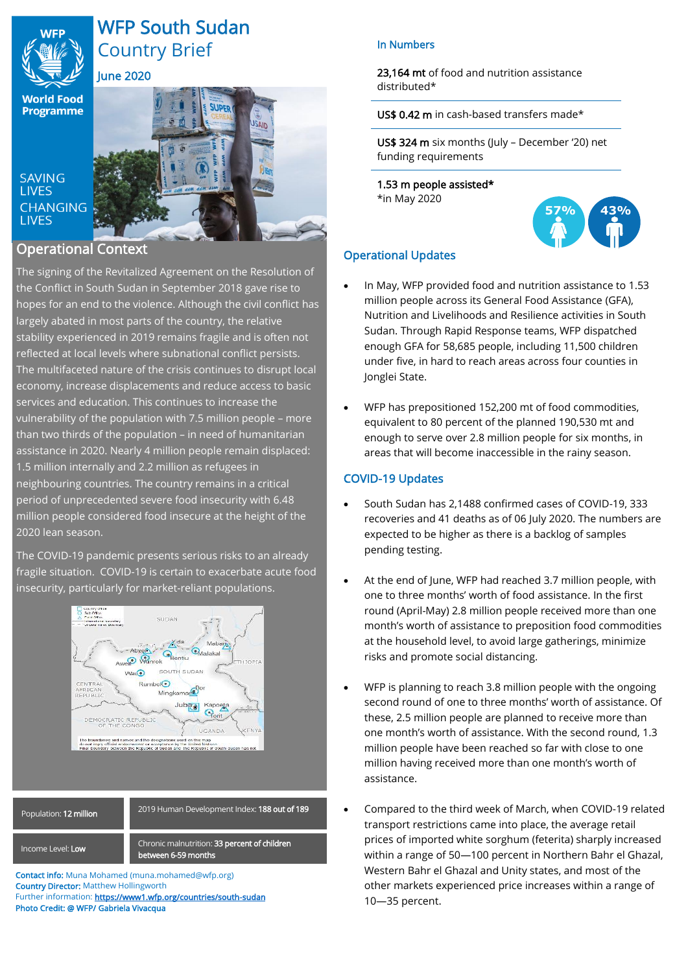

# WFP South Sudan Country Brief June 2020

SAIN

刷知

**World Food Programme** 

**SAVING LIVES CHANGING LIVES** 

## Operational Context

The signing of the Revitalized Agreement on the Resolution of the Conflict in South Sudan in September 2018 gave rise to hopes for an end to the violence. Although the civil conflict has largely abated in most parts of the country, the relative stability experienced in 2019 remains fragile and is often not reflected at local levels where subnational conflict persists. The multifaceted nature of the crisis continues to disrupt local economy, increase displacements and reduce access to basic services and education. This continues to increase the vulnerability of the population with 7.5 million people – more than two thirds of the population – in need of humanitarian assistance in 2020. Nearly 4 million people remain displaced: 1.5 million internally and 2.2 million as refugees in neighbouring countries. The country remains in a critical period of unprecedented severe food insecurity with 6.48 million people considered food insecure at the height of the 2020 lean season.

The COVID-19 pandemic presents serious risks to an already fragile situation. COVID-19 is certain to exacerbate acute food insecurity, particularly for market-reliant populations.



# Population: 12 million

Income Level: Low

Chronic malnutrition: 33 percent of children between 6-59 months

2019 Human Development Index: 188 out of 189

Contact info: Muna Mohamed (muna.mohamed@wfp.org) Country Director: Matthew Hollingworth Further information: https://www1.wfp.org/countries/south-sudan Photo Credit: @ WFP/ Gabriela Vivacqua

## In Numbers

23.164 mt of food and nutrition assistance distributed\*

## US\$ 0.42 m in cash-based transfers made\*

US\$ 324 m six months (July – December '20) net funding requirements

1.53 m people assisted\* \*in May 2020



## Operational Updates

- In May, WFP provided food and nutrition assistance to 1.53 million people across its General Food Assistance (GFA), Nutrition and Livelihoods and Resilience activities in South Sudan. Through Rapid Response teams, WFP dispatched enough GFA for 58,685 people, including 11,500 children under five, in hard to reach areas across four counties in Jonglei State.
- WFP has prepositioned 152,200 mt of food commodities, equivalent to 80 percent of the planned 190,530 mt and enough to serve over 2.8 million people for six months, in areas that will become inaccessible in the rainy season.

## COVID-19 Updates

- South Sudan has 2,1488 confirmed cases of COVID-19, 333 recoveries and 41 deaths as of 06 July 2020. The numbers are expected to be higher as there is a backlog of samples pending testing.
- At the end of June, WFP had reached 3.7 million people, with one to three months' worth of food assistance. In the first round (April-May) 2.8 million people received more than one month's worth of assistance to preposition food commodities at the household level, to avoid large gatherings, minimize risks and promote social distancing.
- WFP is planning to reach 3.8 million people with the ongoing second round of one to three months' worth of assistance. Of these, 2.5 million people are planned to receive more than one month's worth of assistance. With the second round, 1.3 million people have been reached so far with close to one million having received more than one month's worth of assistance.
- Compared to the third week of March, when COVID-19 related transport restrictions came into place, the average retail prices of imported white sorghum (feterita) sharply increased within a range of 50—100 percent in Northern Bahr el Ghazal, Western Bahr el Ghazal and Unity states, and most of the other markets experienced price increases within a range of 10—35 percent.